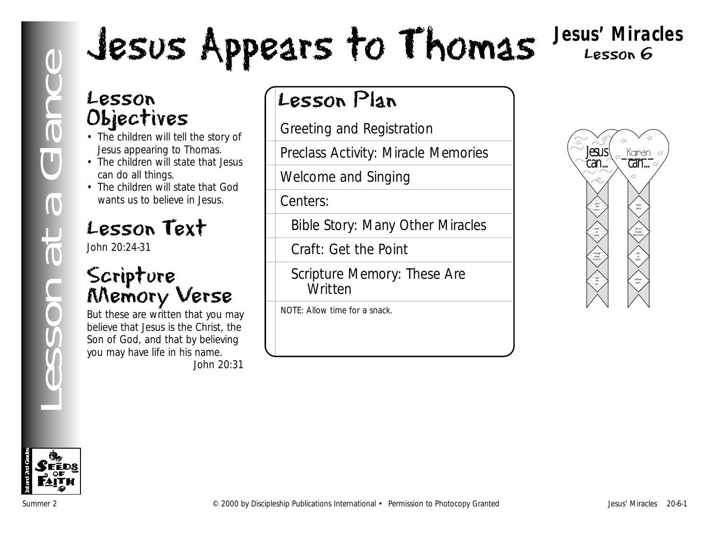# Lesson<br>
Chiectives<br>
Chiectives<br>
Chiectives<br>
Chiectives<br>
Chiectives<br>
Chiectives<br>
Chiectives<br>
Chiectives<br>
Chiectives<br>
Chiectives<br>
Chiectives<br>
Chiectives<br>
Chiectives<br>
Chiective in Jesus<br>
Chiective in Jesus<br>
Chief Chief Chief

**Jesus' Miracles** Lesson 6

# Lesson Objectives

- The children will tell the story of Jesus appearing to Thomas.
- The children will state that Jesus can do all things.
- The children will state that God wants us to believe in Jesus.

# Lesson Text

John 20:24-31

# Scripture Memory Verse

But these are written that you may believe that Jesus is the Christ, the Son of God, and that by believing you may have life in his name. *John 20:31*

# Lesson Plan

Greeting and Registration

Preclass Activity: Miracle Memories

Welcome and Singing

Centers:

Bible Story: Many Other Miracles

Craft: Get the Point

Scripture Memory: These Are Written

NOTE: Allow time for a snack.



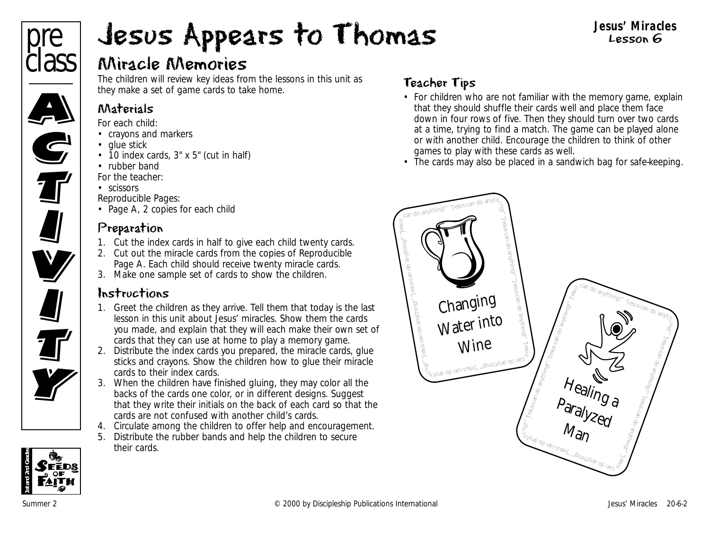

#### **Jesus' Miracles** Lesson 6

# Miracle Memories

The children will review key ideas from the lessons in this unit as they make a set of game cards to take home.

# Materials

*For each child:*

- crayons and markers
- glue stick
- 10 index cards, 3" x 5" (cut in half)
- rubber band

*For the teacher:*

• scissors

*Reproducible Pages:*

• Page A, 2 copies for each child

# Preparation

- 1. Cut the index cards in half to give each child twenty cards.
- 2. Cut out the miracle cards from the copies of Reproducible Page A. Each child should receive twenty miracle cards.
- 3. Make one sample set of cards to show the children.

# Instructions

- 1. Greet the children as they arrive. Tell them that today is the last lesson in this unit about Jesus' miracles. Show them the cards you made, and explain that they will each make their own set of cards that they can use at home to play a memory game.
- 2. Distribute the index cards you prepared, the miracle cards, glue sticks and crayons. Show the children how to glue their miracle cards to their index cards.
- 3. When the children have finished gluing, they may color all the backs of the cards one color, or in different designs. Suggest that they write their initials on the back of each card so that the cards are not confused with another child's cards.
- 4. Circulate among the children to offer help and encouragement.
- 5. Distribute the rubber bands and help the children to secure their cards.

# Teacher Tips

- For children who are not familiar with the memory game, explain that they should shuffle their cards well and place them face down in four rows of five. Then they should turn over two cards at a time, trying to find a match. The game can be played alone or with another child. Encourage the children to think of other games to play with these cards as well.
- The cards may also be placed in a sandwich bag for safe-keeping.





**All** 

**TV**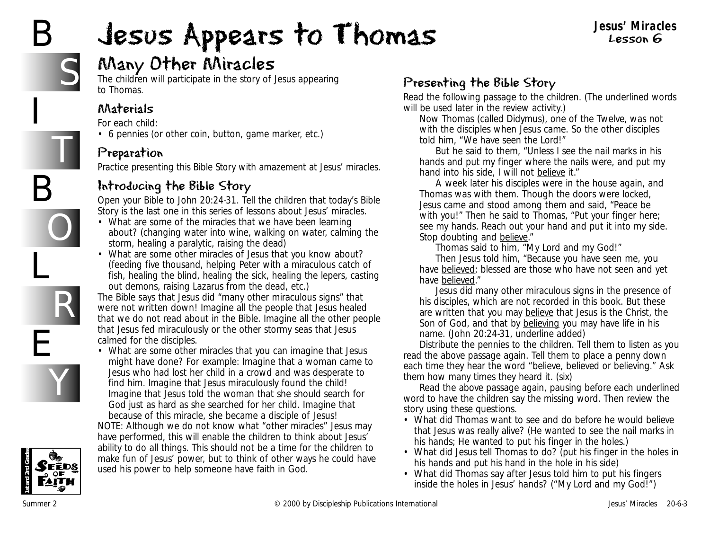# B

I

B

L

E

# Jesus Appears to Thomas



T

O

R

Y

# Many Other Miracles

The children will participate in the story of Jesus appearing to Thomas.

# Materials

*For each child:*

• 6 pennies (or other coin, button, game marker, etc.)

## Preparation

Practice presenting this Bible Story with amazement at Jesus' miracles.

# Introducing the Bible Story

Open your Bible to John 20:24-31. Tell the children that today's Bible Story is the last one in this series of lessons about Jesus' miracles.

- *What are some of the miracles that we have been learning about?* (changing water into wine, walking on water, calming the storm, healing a paralytic, raising the dead)
- *What are some other miracles of Jesus that you know about?* (feeding five thousand, helping Peter with a miraculous catch of fish, healing the blind, healing the sick, healing the lepers, casting out demons, raising Lazarus from the dead, etc.)

*The Bible says that Jesus did "many other miraculous signs" that were not written down! Imagine all the people that Jesus healed that we do not read about in the Bible. Imagine all the other people that Jesus fed miraculously or the other stormy seas that Jesus calmed for the disciples.*

• *What are some other miracles that you can imagine that Jesus might have done? For example: Imagine that a woman came to Jesus who had lost her child in a crowd and was desperate to find him. Imagine that Jesus miraculously found the child! Imagine that Jesus told the woman that she should search for God just as hard as she searched for her child. Imagine that because of this miracle, she became a disciple of Jesus!* NOTE: Although we do not know what "other miracles" Jesus may

have performed, this will enable the children to think about Jesus' ability to do all things. This should not be a time for the children to make fun of Jesus' power, but to think of other ways he could have used his power to help someone have faith in God.

# Presenting the Bible Story

Read the following passage to the children. (The underlined words will be used later in the review activity.)

*Now Thomas (called Didymus), one of the Twelve, was not with the disciples when Jesus came. So the other disciples told him, "We have seen the Lord!"*

*But he said to them, "Unless I see the nail marks in his hands and put my finger where the nails were, and put my hand into his side, I will not believe it."*

*A week later his disciples were in the house again, and Thomas was with them. Though the doors were locked, Jesus came and stood among them and said, "Peace be with you!" Then he said to Thomas, "Put your finger here; see my hands. Reach out your hand and put it into my side. Stop doubting and believe."*

*Thomas said to him, "My Lord and my God!"*

*Then Jesus told him, "Because you have seen me, you have believed; blessed are those who have not seen and yet have believed."*

*Jesus did many other miraculous signs in the presence of his disciples, which are not recorded in this book. But these are written that you may believe that Jesus is the Christ, the Son of God, and that by believing you may have life in his name.* (John 20:24-31, underline added)

Distribute the pennies to the children. Tell them to listen as you read the above passage again. Tell them to place a penny down each time they hear the word "believe, believed or believing." Ask them how many times they heard it. (six)

Read the above passage again, pausing before each underlined word to have the children say the missing word. Then review the story using these questions.

- *What did Thomas want to see and do before he would believe that Jesus was really alive?* (He wanted to see the nail marks in his hands; He wanted to put his finger in the holes.)
- *What did Jesus tell Thomas to do?* (put his finger in the holes in his hands and put his hand in the hole in his side)
- *What did Thomas say after Jesus told him to put his fingers inside the holes in Jesus' hands?* ("My Lord and my God!")

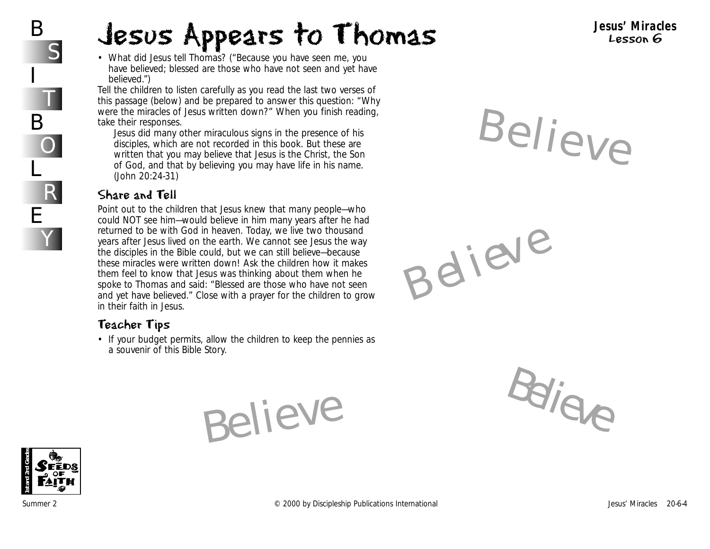• *What did Jesus tell Thomas?* ("Because you have seen me, you have believed; blessed are those who have not seen and yet have *believed.")*

Tell the children to listen carefully as you read the last two verses of this passage (below) and be prepared to answer this question: "Why were the miracles of Jesus written down?" When you finish reading, take their responses.

*Jesus did many other miraculous signs in the presence of his disciples, which are not recorded in this book. But these are written that you may believe that Jesus is the Christ, the Son of God, and that by believing you may have life in his name.* (John 20:24-31)

#### Share and Tell

Point out to the children that Jesus knew that many people—who could NOT see him—would believe in him many years after he had returned to be with God in heaven. Today, we live two thousand years after Jesus lived on the earth. We cannot see Jesus the way the disciples in the Bible could, but we can still believe—because these miracles were written down! Ask the children how it makes them feel to know that Jesus was thinking about them when he spoke to Thomas and said: "Blessed are those who have not seen and yet have believed." Close with a prayer for the children to grow in their faith in Jesus.

#### Teacher Tips

• If your budget permits, allow the children to keep the pennies as a souvenir of this Bible Story.

Believe





**Jesus' Miracles** Lesson 6

Believe

Believe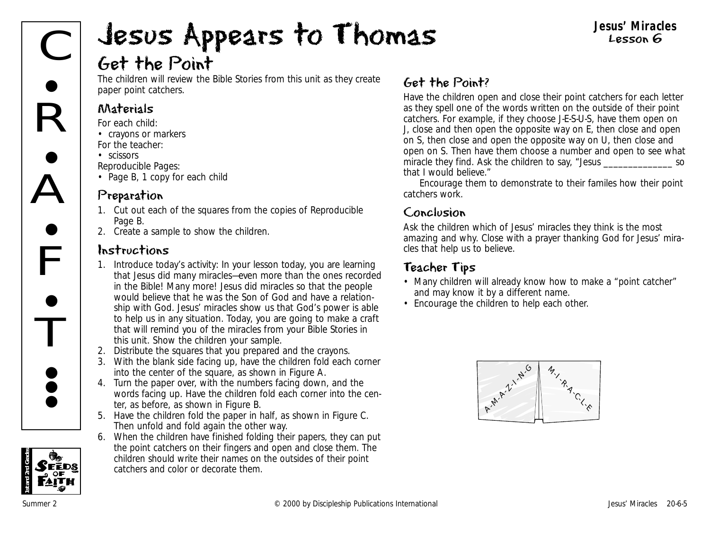#### **Jesus' Miracles** Lesson 6

# Get the Point

The children will review the Bible Stories from this unit as they create paper point catchers.

#### Materials

*For each child:*

- crayons or markers *For the teacher:*
- scissors

*Reproducible Pages:*

• Page B, 1 copy for each child

#### Preparation

- 1. Cut out each of the squares from the copies of Reproducible Page B.
- 2. Create a sample to show the children.

## Instructions

- 1. Introduce today's activity: *In your lesson today, you are learning that Jesus did many miracles—even more than the ones recorded in the Bible! Many more! Jesus did miracles so that the people would believe that he was the Son of God and have a relationship with God. Jesus' miracles show us that God's power is able to help us in any situation. Today, you are going to make a craft that will remind you of the miracles from your Bible Stories in this unit.* Show the children your sample.
- 2. Distribute the squares that you prepared and the crayons.
- 3. With the blank side facing up, have the children fold each corner into the center of the square, as shown in Figure A.
- 4. Turn the paper over, with the numbers facing down, and the words facing up. Have the children fold each corner into the center, as before, as shown in Figure B. For the center of the square, as shown in Figure A.<br>
4. Turn the paper over, with the numbers facing down, and the<br>
words facing up. Have the children fold each corner into the center, as before, as shown in Figure B.<br>
5.
	- 5. Have the children fold the paper in half, as shown in Figure C. Then unfold and fold again the other way.
	- 6. When the children have finished folding their papers, they can put the point catchers on their fingers and open and close them. The children should write their names on the outsides of their point catchers and color or decorate them.

# Get the Point?

Have the children open and close their point catchers for each letter as they spell one of the words written on the outside of their point catchers. For example, if they choose J-E-S-U-S, have them open on J, close and then open the opposite way on E, then close and open on S, then close and open the opposite way on U, then close and open on S. Then have them choose a number and open to see what miracle they find. Ask the children to say, "Jesus example and the source of the source of the source of the so that I would believe."

Encourage them to demonstrate to their familes how their point catchers work.

#### Conclusion

Ask the children which of Jesus' miracles they think is the most amazing and why. Close with a prayer thanking God for Jesus' miracles that help us to believe.

## Teacher Tips

- Many children will already know how to make a "point catcher" and may know it by a different name.
- Encourage the children to help each other.



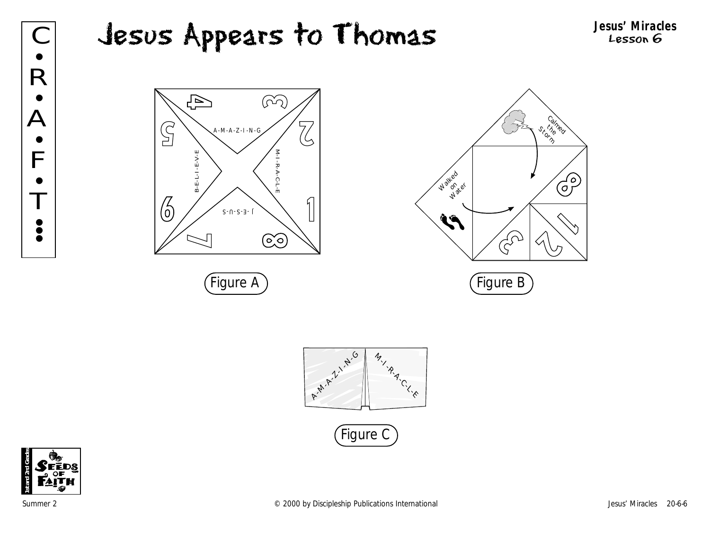#### C **Jesus Appears to Thomas** Jesus' Miracles Jesus Appears to Thomas Ą  $\widehat{(\Omega)}$  $\overline{\mathcal{L}}$  $\mathbb{S}$ A-M-A-Z-I-N-G し  $B - E - L - I - E - V - E$ M-I-R-A-C-L-E M-I-R-A-C-L-E B-E-L-I-E-V-E **Mated**  $\sqrt{ }$ 6



 $S$ -N-S- $\exists$ -C

<u>ෙ</u>







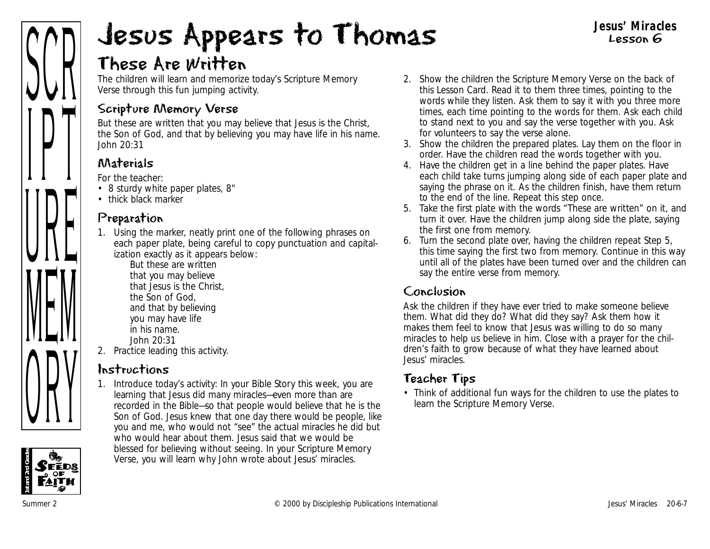

# These Are Written

The children will learn and memorize today's Scripture Memory Verse through this fun jumping activity.

## Scripture Memory Verse

But these are written that you may believe that Jesus is the Christ, the Son of God, and that by believing you may have life in his name. *John 20:31*

# Materials

*For the teacher:*

- 8 sturdy white paper plates, 8"
- thick black marker

# Preparation

1. Using the marker, neatly print one of the following phrases on each paper plate, being careful to copy punctuation and capitalization exactly as it appears below:

But these are written that you may believe that Jesus is the Christ, the Son of God, and that by believing you may have life in his name. John 20:31

2. Practice leading this activity.

# Instructions

1. Introduce today's activity: *In your Bible Story this week, you are learning that Jesus did many miracles—even more than are recorded in the Bible—so that people would believe that he is the Son of God. Jesus knew that one day there would be people, like you and me, who would not "see" the actual miracles he did but who would hear about them. Jesus said that we would be blessed for believing without seeing. In your Scripture Memory Verse, you will learn why John wrote about Jesus' miracles.*

2. Show the children the Scripture Memory Verse on the back of this Lesson Card. Read it to them three times, pointing to the words while they listen. Ask them to say it with you three more times, each time pointing to the words for them. Ask each child to stand next to you and say the verse together with you. Ask for volunteers to say the verse alone.

**Jesus' Miracles** Lesson 6

- 3. Show the children the prepared plates. Lay them on the floor in order. Have the children read the words together with you.
- 4. Have the children get in a line behind the paper plates. Have each child take turns jumping along side of each paper plate and saying the phrase on it. As the children finish, have them return to the end of the line. Repeat this step once.
- 5. Take the first plate with the words "These are written" on it, and turn it over. Have the children jump along side the plate, saying the first one from memory.
- 6. Turn the second plate over, having the children repeat Step 5, this time saying the first two from memory. Continue in this way until all of the plates have been turned over and the children can say the entire verse from memory.

#### Conclusion

Ask the children if they have ever tried to make someone believe them. What did they do? What did they say? Ask them how it makes them feel to know that Jesus was willing to do so many miracles to help us believe in him. Close with a prayer for the children's faith to grow because of what they have learned about Jesus' miracles.

# Teacher Tips

• Think of additional fun ways for the children to use the plates to learn the Scripture Memory Verse.

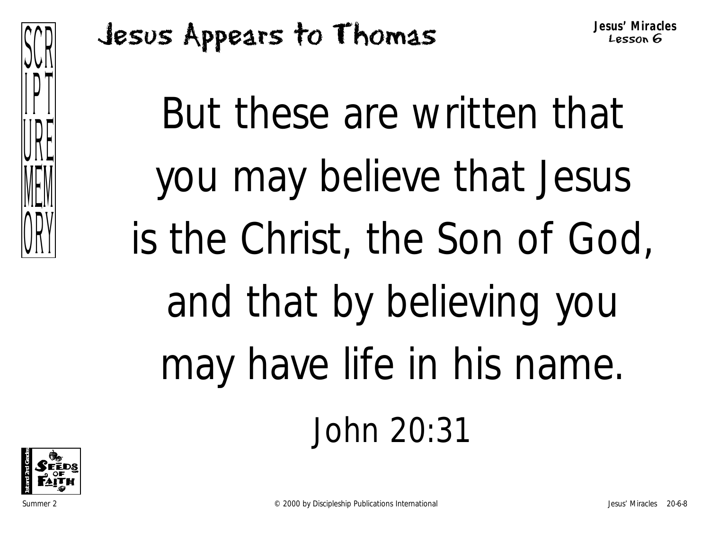

But these are written that you may believe that Jesus is the Christ, the Son of God, and that by believing you may have life in his name. John 20:31

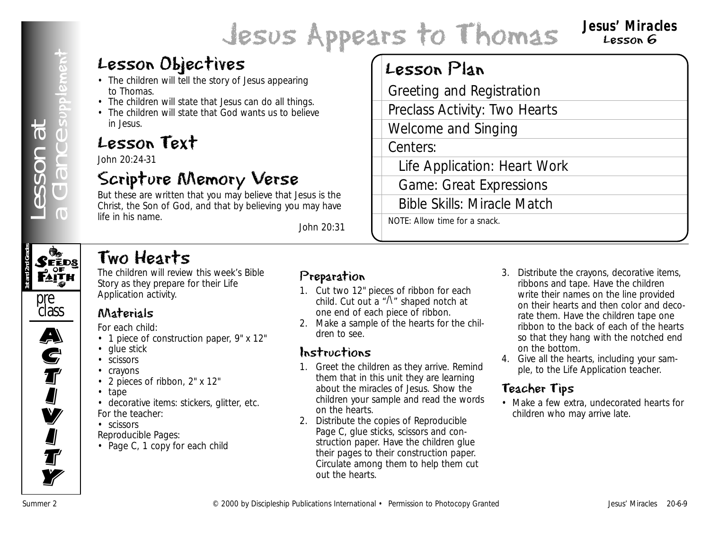#### **Jesus' Miracles** Lesson 6

# Lesson Objectives

- The children will tell the story of Jesus appearing to Thomas.
- The children will state that Jesus can do all things.
- The children will state that God wants us to believe in Jesus.

# Lesson Text

John 20:24-31

# Scripture Memory Verse

But these are written that you may believe that Jesus is the Christ, the Son of God, and that by believing you may have life in his name.

*John 20:31*

# Lesson Plan

Greeting and Registration

Preclass Activity: Two Hearts

Welcome and Singing

Centers:

Life Application: Heart Work

Game: Great Expressions

Bible Skills: Miracle Match

NOTE: Allow time for a snack.

# Two Hearts

The children will review this week's Bible Story as they prepare for their Life Application activity.

# Materials

*For each child:*

- 1 piece of construction paper, 9" x 12"
- glue stick
- scissors
- crayons
- 2 pieces of ribbon, 2" x 12"
- tape
- decorative items: stickers, glitter, etc. *For the teacher:*
- scissors

*Reproducible Pages:*

• Page C, 1 copy for each child

#### Preparation

- 1. Cut two 12" pieces of ribbon for each child. Cut out a  $\sqrt[n]{ }$  shaped notch at one end of each piece of ribbon.
- 2. Make a sample of the hearts for the children to see.

# Instructions

- 1. Greet the children as they arrive. Remind them that in this unit they are learning about the miracles of Jesus. Show the children your sample and read the words on the hearts.
- 2. Distribute the copies of Reproducible Page C, glue sticks, scissors and construction paper. Have the children glue their pages to their construction paper. Circulate among them to help them cut out the hearts.
- **LESSON Objectives**<br> **Examples on the start of continue and the publications International Figure 2**<br> **Examples on the start of the start of the start of the start of the start of the start of the start of the start of th** 3. Distribute the crayons, decorative items, ribbons and tape. Have the children write their names on the line provided on their hearts and then color and decorate them. Have the children tape one ribbon to the back of each of the hearts so that they hang with the notched end on the bottom.
	- 4. Give all the hearts, including your sample, to the Life Application teacher.

# Teacher Tips

• Make a few extra, undecorated hearts for children who may arrive late.





 $\overline{\mathbf{A}}$ 

A)<br>C

**S**<br>T

I<br>I

**V** 

**I** 

**J**<br>T

**Ty**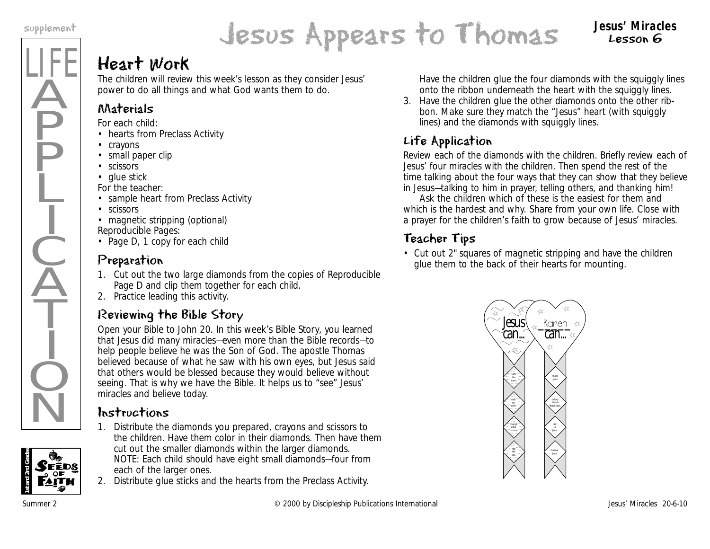LIFE

Ä

**P** 

P

Ļ

I

 $\frac{1}{2}$ 

 $\widecheck{\mathrm{A}}$ 

T

I

 $\dot{Q}$ 

 $\overline{\textsf{N}}$ 

# Jesus Appears to Thomas supplement **Jesus' Miracles**

# Lesson 6

# Heart Work

The children will review this week's lesson as they consider Jesus' power to do all things and what God wants them to do.

# Materials

*For each child:*

- hearts from Preclass Activity
- crayons
- small paper clip
- scissors
- glue stick

*For the teacher:*

- sample heart from Preclass Activity
- scissors
- magnetic stripping (optional)

*Reproducible Pages:*

• Page D, 1 copy for each child

# Preparation

- 1. Cut out the two large diamonds from the copies of Reproducible Page D and clip them together for each child.
- 2. Practice leading this activity.

# Reviewing the Bible Story

Open your Bible to John 20. *In this week's Bible Story, you learned that Jesus did many miracles—even more than the Bible records—to help people believe he was the Son of God. The apostle Thomas believed because of what he saw with his own eyes, but Jesus said that others would be blessed because they would believe without seeing. That is why we have the Bible. It helps us to "see" Jesus' miracles and believe today.*

# Instructions

- 1. Distribute the diamonds you prepared, crayons and scissors to the children. Have them color in their diamonds. Then have them cut out the smaller diamonds within the larger diamonds. NOTE: Each child should have eight small diamonds—four from each of the larger ones.
- 2. Distribute glue sticks and the hearts from the Preclass Activity.

Have the children glue the four diamonds with the squiggly lines onto the ribbon underneath the heart with the squiggly lines.

3. Have the children glue the other diamonds onto the other ribbon. Make sure they match the "Jesus" heart (with squiggly lines) and the diamonds with squiggly lines.

# Life Application

Review each of the diamonds with the children. Briefly review each of Jesus' four miracles with the children. Then spend the rest of the time talking about the four ways that they can show that they believe in Jesus—talking to him in prayer, telling others, and thanking him!

Ask the children which of these is the easiest for them and which is the hardest and why. Share from your own life. Close with a prayer for the children's faith to grow because of Jesus' miracles.

# Teacher Tips

• Cut out 2" squares of magnetic stripping and have the children glue them to the back of their hearts for mounting.

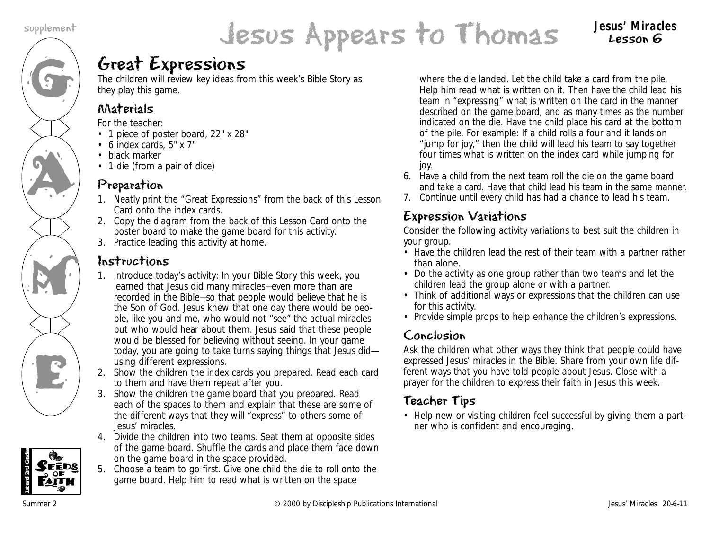# G

AN A

M

K<br>E



Lesson 6

# Great Expressions

The children will review key ideas from this week's Bible Story as they play this game.

## Materials

*For the teacher:*

- 1 piece of poster board, 22" x 28"
- 6 index cards, 5" x 7"
- black marker
- 1 die (from a pair of dice)

#### Preparation

- 1. Neatly print the "Great Expressions" from the back of this Lesson Card onto the index cards.
- 2. Copy the diagram from the back of this Lesson Card onto the poster board to make the game board for this activity.
- 3. Practice leading this activity at home.

## Instructions

- 1. Introduce today's activity: *In your Bible Story this week, you learned that Jesus did many miracles—even more than are recorded in the Bible—so that people would believe that he is the Son of God. Jesus knew that one day there would be people, like you and me, who would not "see" the actual miracles but who would hear about them. Jesus said that these people would be blessed for believing without seeing. In your game today, you are going to take turns saying things that Jesus did using different expressions.*
- 2. Show the children the index cards you prepared. Read each card to them and have them repeat after you.
- 3. Show the children the game board that you prepared. Read each of the spaces to them and explain that these are some of the different ways that they will "express" to others some of Jesus' miracles.
- 4. Divide the children into two teams. Seat them at opposite sides of the game board. Shuffle the cards and place them face down on the game board in the space provided.
- 5. Choose a team to go first. Give one child the die to roll onto the game board. Help him to read what is written on the space

where the die landed. Let the child take a card from the pile. Help him read what is written on it. Then have the child lead his team in "expressing" what is written on the card in the manner described on the game board, and as many times as the number indicated on the die. Have the child place his card at the bottom of the pile. For example: If a child rolls a four and it lands on "jump for joy," then the child will lead his team to say together four times what is written on the index card while jumping for joy.

- 6. Have a child from the next team roll the die on the game board and take a card. Have that child lead his team in the same manner.
- 7. Continue until every child has had a chance to lead his team.

# Expression Variations

Consider the following activity variations to best suit the children in your group.

- Have the children lead the rest of their team with a partner rather than alone.
- Do the activity as one group rather than two teams and let the children lead the group alone or with a partner.
- Think of additional ways or expressions that the children can use for this activity.
- Provide simple props to help enhance the children's expressions.

## Conclusion

Ask the children what other ways they think that people could have expressed Jesus' miracles in the Bible. Share from your own life different ways that you have told people about Jesus. Close with a prayer for the children to express their faith in Jesus this week.

# Teacher Tips

• Help new or visiting children feel successful by giving them a partner who is confident and encouraging.

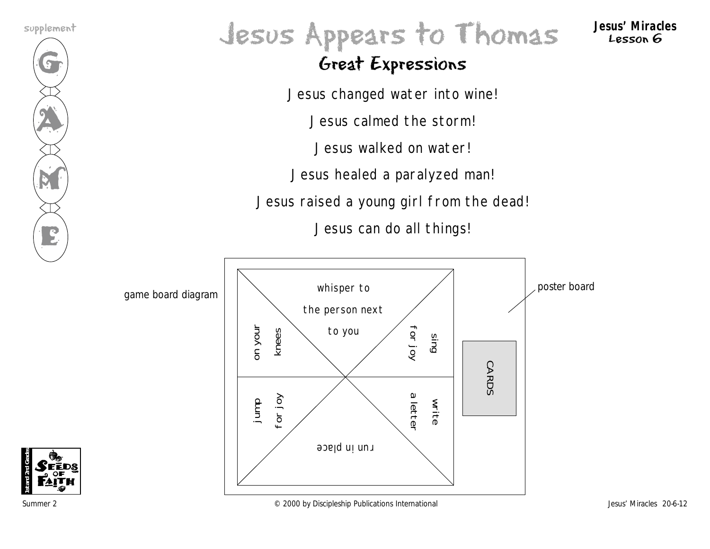

# Jesus Appears to Thomas supplement **Jesus' Miracles**

Lesson 6

# Great Expressions

Jesus changed water into wine!

Jesus calmed the storm!

Jesus walked on water!

Jesus healed a paralyzed man!

Jesus raised a young girl from the dead!

Jesus can do all things!



**1st and 2nd Grades**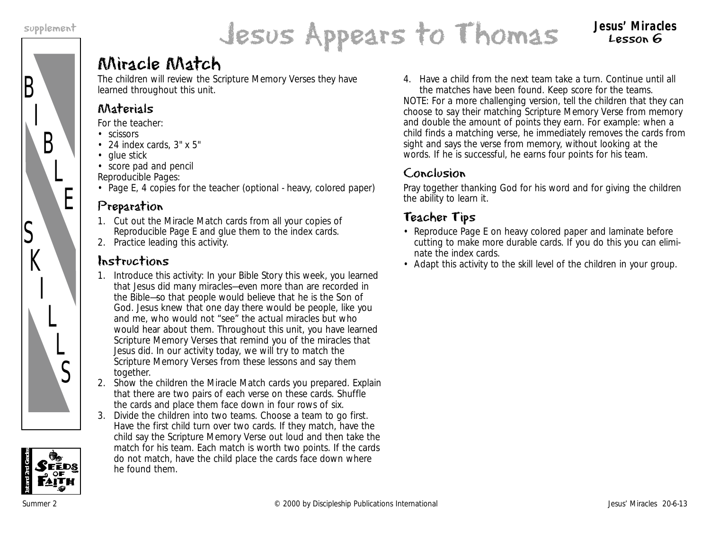B

S

 $K$ 

I

L

 $\overline{L}$ 

S

I

B

L

E



# Miracle Match

The children will review the Scripture Memory Verses they have learned throughout this unit.

#### Materials

*For the teacher:*

- scissors
- 24 index cards, 3" x 5"
- glue stick
- score pad and pencil

*Reproducible Pages:*

• Page E, 4 copies for the teacher (optional - heavy, colored paper)

## Preparation

- 1. Cut out the Miracle Match cards from all your copies of Reproducible Page E and glue them to the index cards.
- 2. Practice leading this activity.

## Instructions

- 1. Introduce this activity: *In your Bible Story this week, you learned that Jesus did many miracles—even more than are recorded in the Bible—so that people would believe that he is the Son of God. Jesus knew that one day there would be people, like you and me, who would not "see" the actual miracles but who would hear about them. Throughout this unit, you have learned Scripture Memory Verses that remind you of the miracles that Jesus did. In our activity today, we will try to match the Scripture Memory Verses from these lessons and say them together.*
- 2. Show the children the Miracle Match cards you prepared. Explain that there are two pairs of each verse on these cards. Shuffle the cards and place them face down in four rows of six.
- 3. Divide the children into two teams. Choose a team to go first. Have the first child turn over two cards. If they match, have the child say the Scripture Memory Verse out loud and then take the match for his team. Each match is worth two points. If the cards do not match, have the child place the cards face down where he found them.

4. Have a child from the next team take a turn. Continue until all the matches have been found. Keep score for the teams.

NOTE: For a more challenging version, tell the children that they can choose to say their matching Scripture Memory Verse from memory and double the amount of points they earn. For example: when a child finds a matching verse, he immediately removes the cards from sight and says the verse from memory, without looking at the words. If he is successful, he earns four points for his team.

## Conclusion

Pray together thanking God for his word and for giving the children the ability to learn it.

# Teacher Tips

- Reproduce Page E on heavy colored paper and laminate before cutting to make more durable cards. If you do this you can eliminate the index cards.
- Adapt this activity to the skill level of the children in your group.

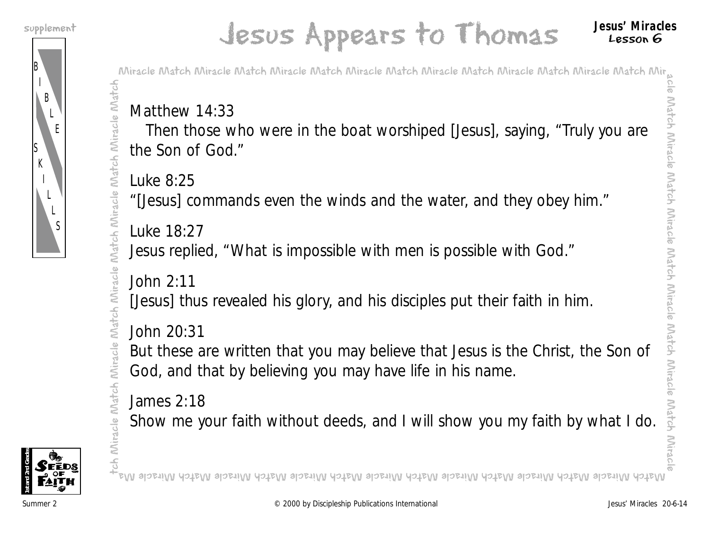B

S K

> I L L S

I B

> L E

# Jesus Appears to Thomas supplement **Jesus' Miracles**

Match Miracle Match

Match Miracle

Match Miracle

Miracle Match Miracle Match Miracle Match Miracle Match Miracle Match Miracle Match Miracle Match Mir

# Matthew 14:33

Then those who were in the boat worshiped [Jesus], saying, "Truly you are the Son of God."

Luke 8:25

"[Jesus] commands even the winds and the water, and they obey him."

Luke 18:27

Jesus replied, "What is impossible with men is possible with God."

John 2:11

[Jesus] thus revealed his glory, and his disciples put their faith in him.

John 20:31 Miracle

But these are written that you may believe that Jesus is the Christ, the Son of God, and that by believing you may have life in his name.

James 2:18

Show me your faith without deeds, and I will show you my faith by what I do.



tch Miracle Match Miracle Match Miracle Match Miracle Match Miracle Match tch Miracle Match Match Miracle Match Miracle Match Miracle Match Miracle Match Miracle Match Miracle Match Miracle Ma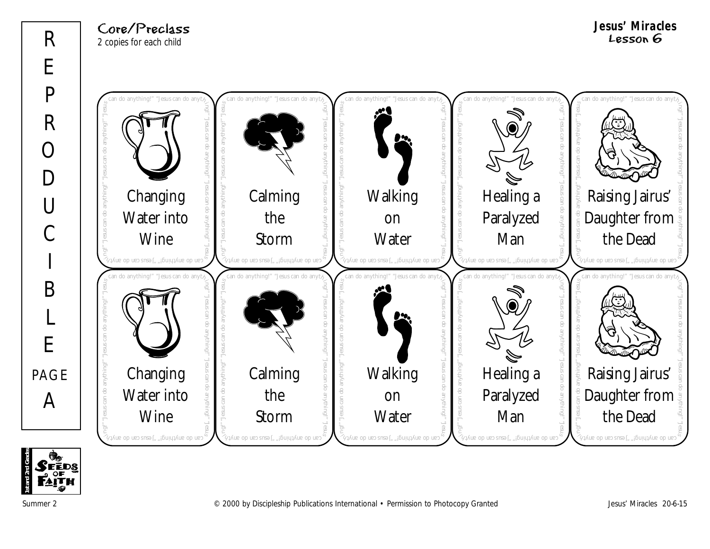#### Core/Preclass 2 copies for each child

**Jesus' Miracles** Lesson 6



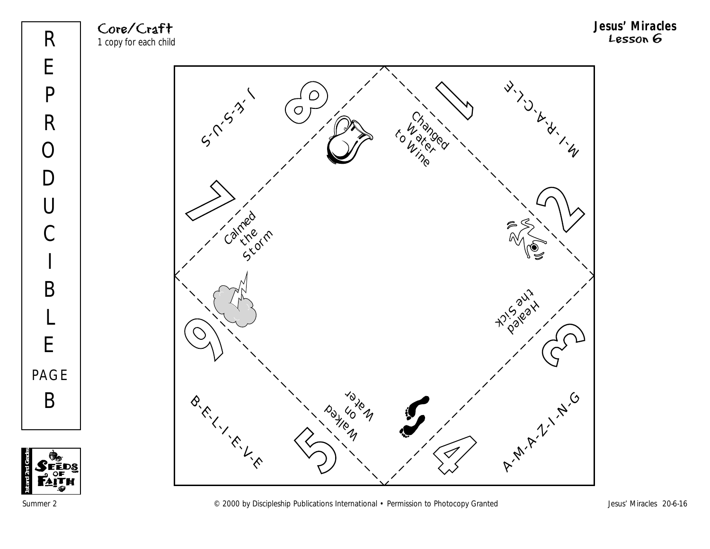Core/Craft 1 copy for each child



**1st and 2nd Grades**

Þ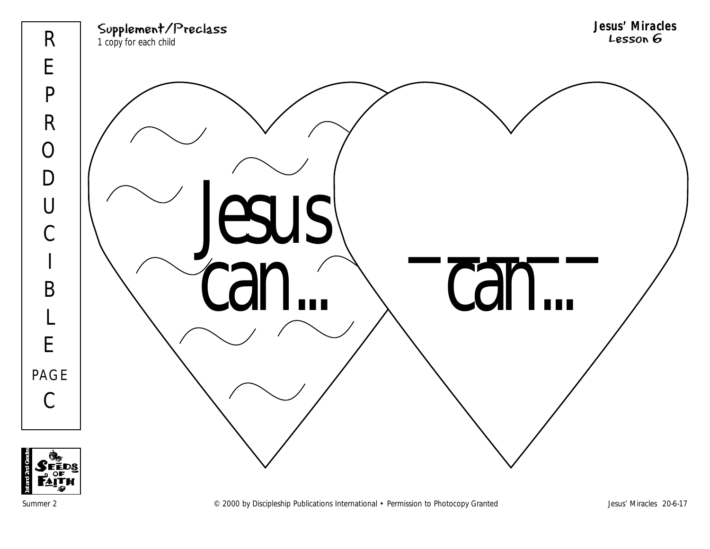

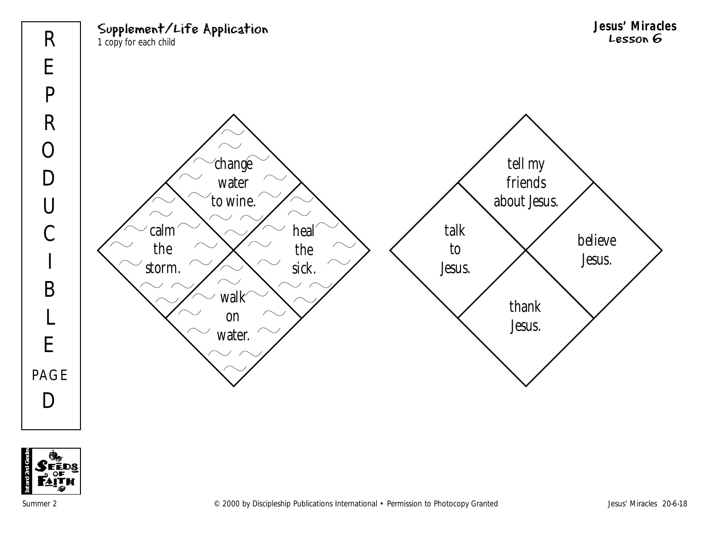



Summer 2 COOD by Discipleship Publications International • Permission to Photocopy Granted Jesus' Miracles 20-6-18